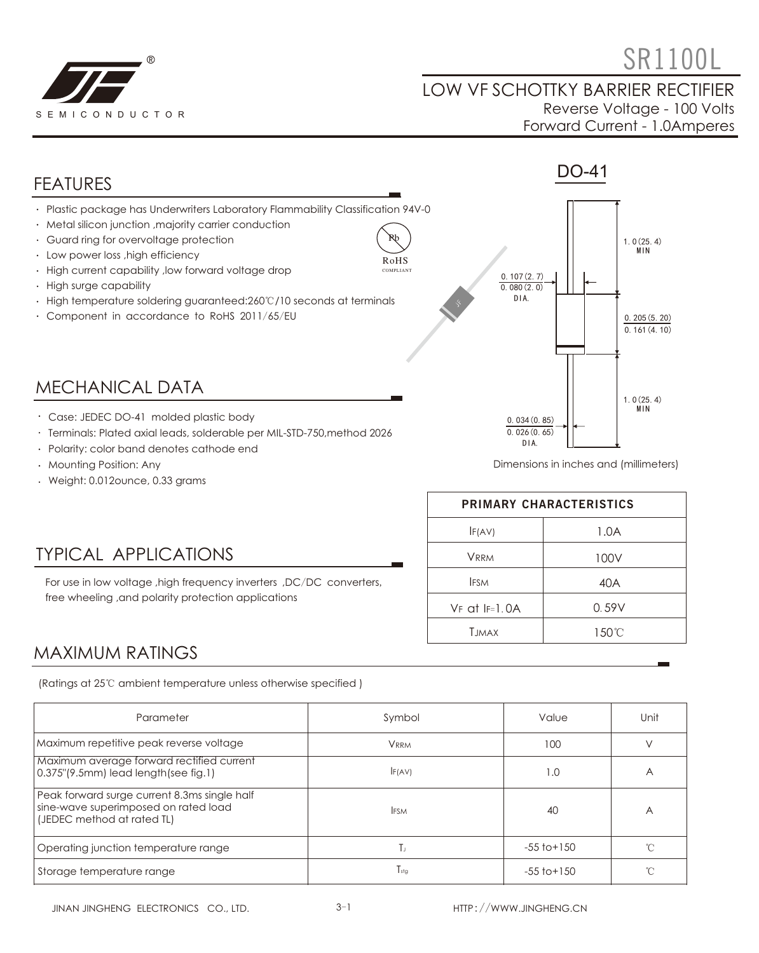

# $\bullet$  SR1100L

#### LOW VF SCHOTTKY BARRIER RECTIFIER Reverse Voltage - 100 Volts Forward Current - 1.0Amperes



- Terminals: Plated axial leads, solderable per MIL-STD-750,method 2026
- Polarity: color band denotes cathode end
- Mounting Position: Any
- Weight: 0.012ounce, 0.33 grams

Dimensions in inches and (millimeters)

| PRIMARY CHARACTERISTICS |       |  |  |
|-------------------------|-------|--|--|
| IF(AV)                  | 1.0A  |  |  |
| <b>VRRM</b>             | 100V  |  |  |
| <b>IFSM</b>             | 40A   |  |  |
| $VF$ at $IF=1.0A$       | 0.59V |  |  |
| <b>TIMAX</b>            | 150°C |  |  |

DIA.

TYPICAL APPLICATIONS

free wheeling ,and polarity protection applications

MAXIMUM RATINGS

(Ratings at 25℃ ambient temperature unless otherwise specified )

For use in low voltage ,high frequency inverters ,DC/DC converters,

| Parameter                                                                                                          | Symbol           | Value           | Unit |
|--------------------------------------------------------------------------------------------------------------------|------------------|-----------------|------|
| Maximum repetitive peak reverse voltage                                                                            | <b>VRRM</b>      | 100             |      |
| Maximum average forward rectified current<br>$0.375$ " $(9.5mm)$ lead length(see fig.1)                            | F(AV)            | 1.0             | Α    |
| Peak forward surge current 8.3ms single half<br>sine-wave superimposed on rated load<br>(JEDEC method at rated TL) | <b>IFSM</b>      | 40              | Α    |
| Operating junction temperature range                                                                               | Ιı.              | $-55$ to $+150$ | ∽    |
| Storage temperature range                                                                                          | $I_{\text{stg}}$ | $-55$ to $+150$ |      |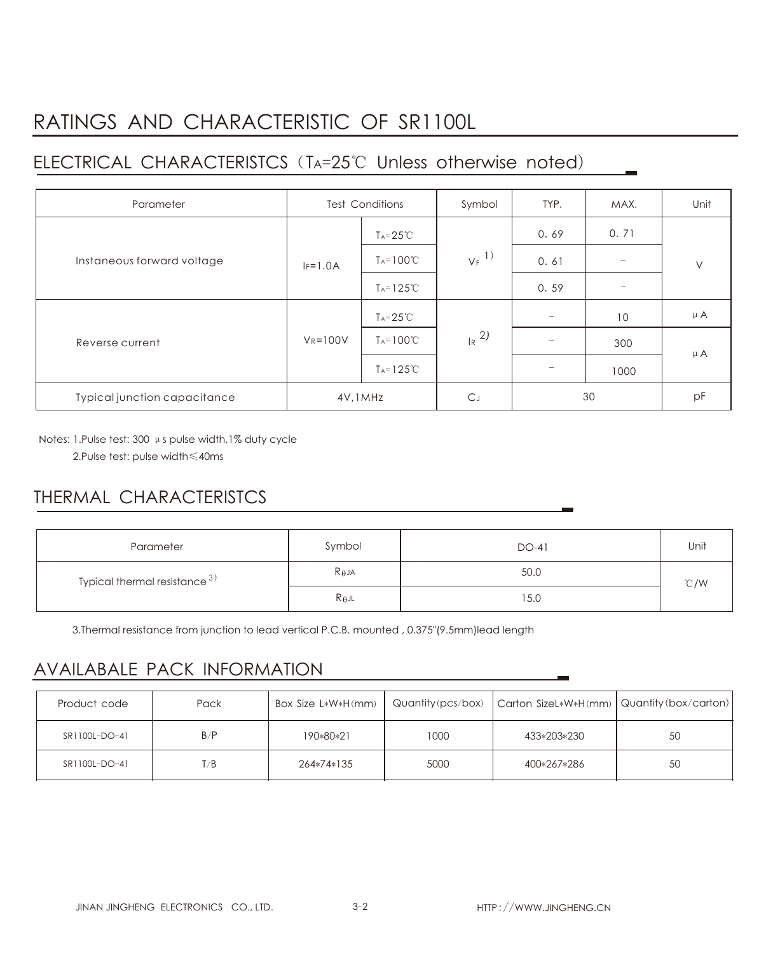# RATINGS AND CHARACTERISTIC OF SR1100L

## ELECTRICAL CHARACTERISTCS (TA=25℃ Unless otherwise noted)

| Parameter                    | <b>Test Conditions</b> |                      | Symbol              | TYP. | MAX.                     | Unit    |
|------------------------------|------------------------|----------------------|---------------------|------|--------------------------|---------|
| Instaneous forward voltage   |                        | $Ta = 25^{\circ}C$   | $V_F$ <sup>1)</sup> | 0.69 | 0.71                     | $\vee$  |
|                              | $IF=1.0A$              | $T_A = 100^{\circ}C$ |                     | 0.61 |                          |         |
|                              |                        | $Ta=125^{\circ}C$    |                     | 0.59 | $\overline{\phantom{0}}$ |         |
| Reverse current              | $V_R = 100V$           | $Ta = 25^{\circ}C$   | $R^{2}$             | $-$  | 10                       | $\mu$ A |
|                              |                        | $T_A = 100^{\circ}C$ |                     |      | 300                      | $\mu$ A |
|                              |                        | $Ta=125^{\circ}C$    |                     |      | 1000                     |         |
| Typical junction capacitance | 4V, 1MHz               |                      | $C_{J}$             | 30   |                          | pF      |

Notes: 1.Pulse test: 300 μs pulse width,1% duty cycle 2.Pulse test: pulse width≤40ms

### THERMAL CHARACTERISTCS

| Parameter                          | Symbol          | DO-41 | Unit |  |
|------------------------------------|-----------------|-------|------|--|
| Typical thermal resistance $^{3)}$ | $R_{\theta}$ JA | 50.0  | °C/W |  |
|                                    | $R_{\theta}$ jl | 15.0  |      |  |

3.Thermal resistance from junction to lead vertical P.C.B. mounted , 0.375"(9.5mm)lead length

#### AVAILABALE PACK INFORMATION

| Product code  | Pack | Box Size L*W*H(mm) |      | Quantity (pcs/box)   Carton SizeL*W*H(mm)   Quantity (box/carton) |    |
|---------------|------|--------------------|------|-------------------------------------------------------------------|----|
| SR1100L-DO-41 | B/P  | 190*80*21          | 1000 | 433*203*230                                                       | 50 |
| SR1100L-DO-41 | T/B  | 264*74*135         | 5000 | 400*267*286                                                       | 50 |